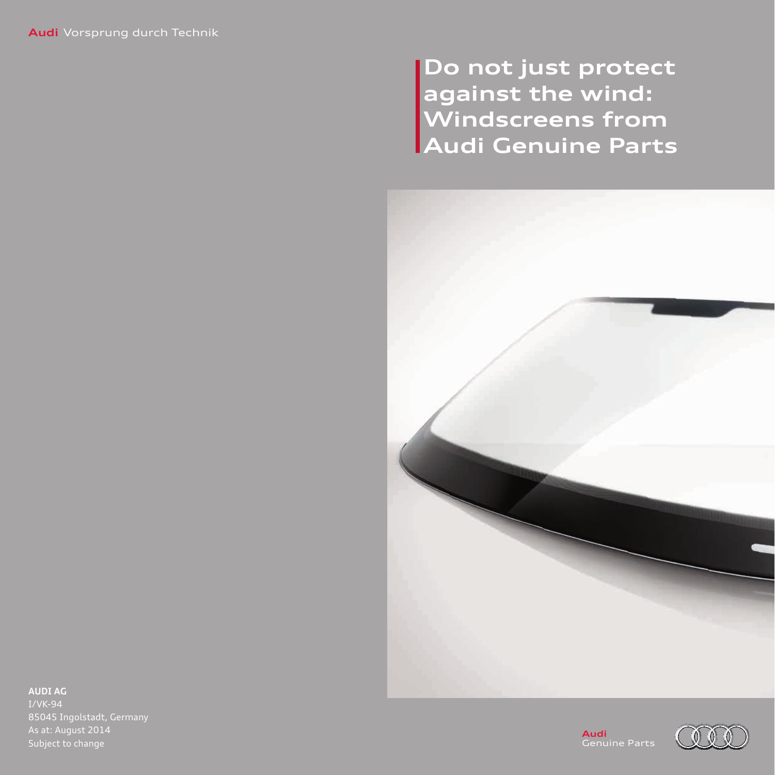**Do not just protect against the wind: Windscreens from Audi Genuine Parts**



**AUDI AG**

I/VK-94 As at: August 2014